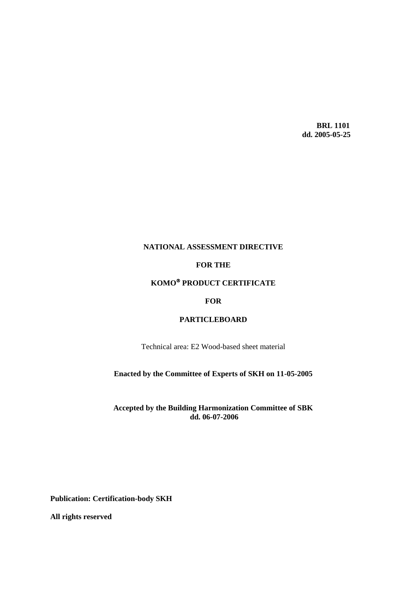**BRL 1101 dd. 2005-05-25**

# **NATIONAL ASSESSMENT DIRECTIVE**

# **FOR THE**

# **KOMO PRODUCT CERTIFICATE**

# **FOR**

# **PARTICLEBOARD**

Technical area: E2 Wood-based sheet material

# **Enacted by the Committee of Experts of SKH on 11-05-2005**

# **Accepted by the Building Harmonization Committee of SBK dd. 06-07-2006**

**Publication: Certification-body SKH**

**All rights reserved**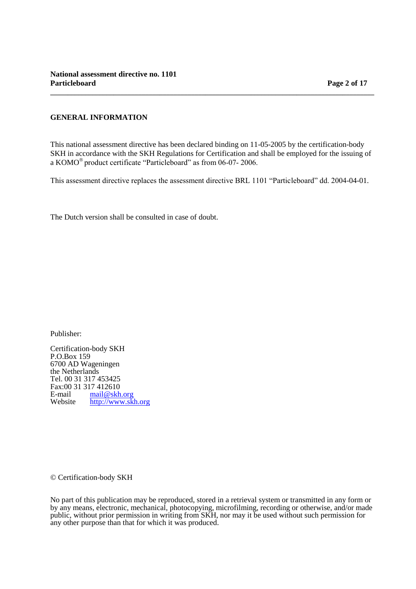# **GENERAL INFORMATION**

This national assessment directive has been declared binding on 11-05-2005 by the certification-body SKH in accordance with the SKH Regulations for Certification and shall be employed for the issuing of a KOMO<sup>®</sup> product certificate "Particleboard" as from 06-07- 2006.

**\_\_\_\_\_\_\_\_\_\_\_\_\_\_\_\_\_\_\_\_\_\_\_\_\_\_\_\_\_\_\_\_\_\_\_\_\_\_\_\_\_\_\_\_\_\_\_\_\_\_\_\_\_\_\_\_\_\_\_\_\_\_\_\_\_\_\_\_\_\_\_\_\_\_\_\_\_\_\_\_\_\_\_\_\_\_\_\_\_\_\_\_**

This assessment directive replaces the assessment directive BRL 1101 "Particleboard" dd. 2004-04-01.

The Dutch version shall be consulted in case of doubt.

Publisher:

Certification-body SKH P.O.Box 159 6700 AD Wageningen the Netherlands Tel. 00 31 317 453425 Fax:00 31 317 412610<br>E-mail mail@skh. E-mail [mail@skh.org](mailto:mail@skh.org)<br>Website http://www.sk [http://www.skh.org](http://www.skh.org/)

© Certification-body SKH

No part of this publication may be reproduced, stored in a retrieval system or transmitted in any form or by any means, electronic, mechanical, photocopying, microfilming, recording or otherwise, and/or made public, without prior permission in writing from SKH, nor may it be used without such permission for any other purpose than that for which it was produced.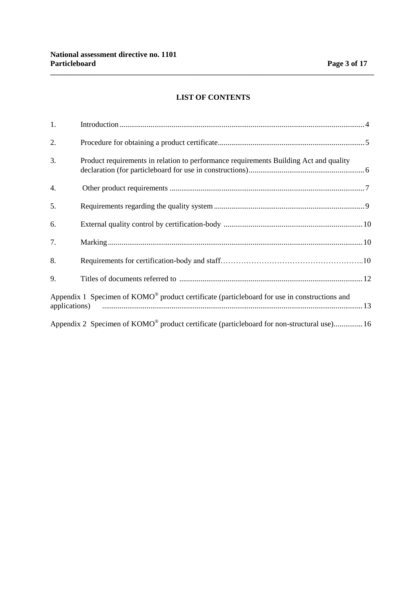# **LIST OF CONTENTS**

**\_\_\_\_\_\_\_\_\_\_\_\_\_\_\_\_\_\_\_\_\_\_\_\_\_\_\_\_\_\_\_\_\_\_\_\_\_\_\_\_\_\_\_\_\_\_\_\_\_\_\_\_\_\_\_\_\_\_\_\_\_\_\_\_\_\_\_\_\_\_\_\_\_\_\_\_\_\_\_\_\_\_\_\_\_\_\_\_\_\_\_\_**

| 1. |                                                                                                          |  |
|----|----------------------------------------------------------------------------------------------------------|--|
| 2. |                                                                                                          |  |
| 3. | Product requirements in relation to performance requirements Building Act and quality                    |  |
| 4. |                                                                                                          |  |
| 5. |                                                                                                          |  |
| 6. |                                                                                                          |  |
| 7. |                                                                                                          |  |
| 8. |                                                                                                          |  |
| 9. |                                                                                                          |  |
|    | Appendix 1 Specimen of KOMO <sup>®</sup> product certificate (particleboard for use in constructions and |  |
|    | Appendix 2 Specimen of KOMO <sup>®</sup> product certificate (particleboard for non-structural use) 16   |  |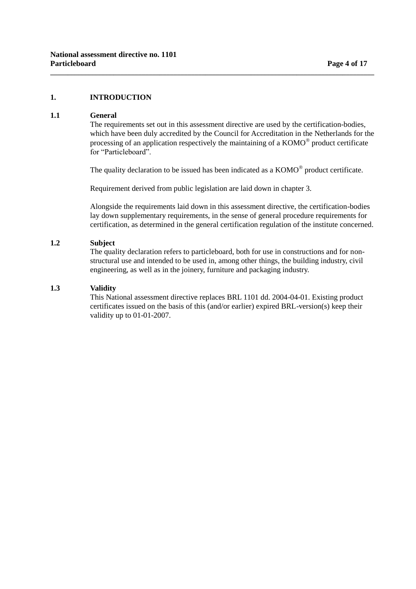# **1. INTRODUCTION**

### **1.1 General**

The requirements set out in this assessment directive are used by the certification-bodies, which have been duly accredited by the Council for Accreditation in the Netherlands for the processing of an application respectively the maintaining of a  $KOMO^{\circledast}$  product certificate for "Particleboard"

The quality declaration to be issued has been indicated as a  $KOMO^{\circledast}$  product certificate.

Requirement derived from public legislation are laid down in chapter 3.

**\_\_\_\_\_\_\_\_\_\_\_\_\_\_\_\_\_\_\_\_\_\_\_\_\_\_\_\_\_\_\_\_\_\_\_\_\_\_\_\_\_\_\_\_\_\_\_\_\_\_\_\_\_\_\_\_\_\_\_\_\_\_\_\_\_\_\_\_\_\_\_\_\_\_\_\_\_\_\_\_\_\_\_\_\_\_\_\_\_\_\_\_**

Alongside the requirements laid down in this assessment directive, the certification-bodies lay down supplementary requirements, in the sense of general procedure requirements for certification, as determined in the general certification regulation of the institute concerned.

# **1.2 Subject**

The quality declaration refers to particleboard, both for use in constructions and for nonstructural use and intended to be used in, among other things, the building industry, civil engineering, as well as in the joinery, furniture and packaging industry.

# **1.3 Validity**

This National assessment directive replaces BRL 1101 dd. 2004-04-01. Existing product certificates issued on the basis of this (and/or earlier) expired BRL-version(s) keep their validity up to 01-01-2007.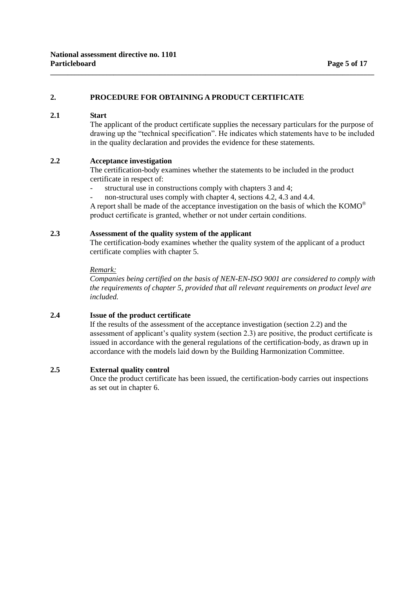# **2. PROCEDURE FOR OBTAINING A PRODUCT CERTIFICATE**

# **2.1 Start**

The applicant of the product certificate supplies the necessary particulars for the purpose of drawing up the "technical specification". He indicates which statements have to be included in the quality declaration and provides the evidence for these statements.

### **2.2 Acceptance investigation**

The certification-body examines whether the statements to be included in the product certificate in respect of:

**\_\_\_\_\_\_\_\_\_\_\_\_\_\_\_\_\_\_\_\_\_\_\_\_\_\_\_\_\_\_\_\_\_\_\_\_\_\_\_\_\_\_\_\_\_\_\_\_\_\_\_\_\_\_\_\_\_\_\_\_\_\_\_\_\_\_\_\_\_\_\_\_\_\_\_\_\_\_\_\_\_\_\_\_\_\_\_\_\_\_\_\_**

- structural use in constructions comply with chapters 3 and 4;
- non-structural uses comply with chapter 4, sections 4.2, 4.3 and 4.4.

A report shall be made of the acceptance investigation on the basis of which the KOMO<sup>®</sup> product certificate is granted, whether or not under certain conditions.

### **2.3 Assessment of the quality system of the applicant**

The certification-body examines whether the quality system of the applicant of a product certificate complies with chapter 5.

#### *Remark:*

*Companies being certified on the basis of NEN-EN-ISO 9001 are considered to comply with the requirements of chapter 5, provided that all relevant requirements on product level are included.*

# **2.4 Issue of the product certificate**

If the results of the assessment of the acceptance investigation (section 2.2) and the assessment of applicant's quality system (section 2.3) are positive, the product certificate is issued in accordance with the general regulations of the certification-body, as drawn up in accordance with the models laid down by the Building Harmonization Committee.

# **2.5 External quality control**

Once the product certificate has been issued, the certification-body carries out inspections as set out in chapter 6.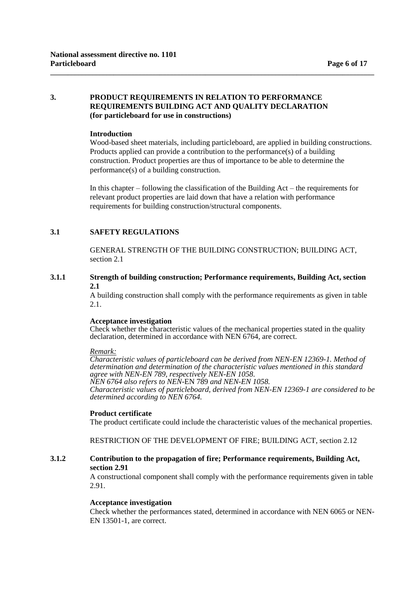# **3. PRODUCT REQUIREMENTS IN RELATION TO PERFORMANCE REQUIREMENTS BUILDING ACT AND QUALITY DECLARATION (for particleboard for use in constructions)**

**\_\_\_\_\_\_\_\_\_\_\_\_\_\_\_\_\_\_\_\_\_\_\_\_\_\_\_\_\_\_\_\_\_\_\_\_\_\_\_\_\_\_\_\_\_\_\_\_\_\_\_\_\_\_\_\_\_\_\_\_\_\_\_\_\_\_\_\_\_\_\_\_\_\_\_\_\_\_\_\_\_\_\_\_\_\_\_\_\_\_\_\_**

### **Introduction**

Wood-based sheet materials, including particleboard, are applied in building constructions. Products applied can provide a contribution to the performance(s) of a building construction. Product properties are thus of importance to be able to determine the performance(s) of a building construction.

In this chapter – following the classification of the Building  $Act$  – the requirements for relevant product properties are laid down that have a relation with performance requirements for building construction/structural components.

# **3.1 SAFETY REGULATIONS**

GENERAL STRENGTH OF THE BUILDING CONSTRUCTION; BUILDING ACT, section 2.1

### **3.1.1 Strength of building construction; Performance requirements, Building Act, section 2.1**

A building construction shall comply with the performance requirements as given in table 2.1.

# **Acceptance investigation**

Check whether the characteristic values of the mechanical properties stated in the quality declaration, determined in accordance with NEN 6764, are correct.

#### *Remark:*

*Characteristic values of particleboard can be derived from NEN-EN 12369-1. Method of determination and determination of the characteristic values mentioned in this standard agree with NEN-EN 789, respectively NEN-EN 1058*. *NEN 6764 also refers to NEN*-EN 789 *and NEN-EN 1058.*

*Characteristic values of particleboard, derived from NEN-EN 12369-1 are considered to be determined according to NEN 6764.*

# **Product certificate**

The product certificate could include the characteristic values of the mechanical properties.

RESTRICTION OF THE DEVELOPMENT OF FIRE; BUILDING ACT, section 2.12

# **3.1.2 Contribution to the propagation of fire; Performance requirements, Building Act, section 2.91**

A constructional component shall comply with the performance requirements given in table 2.91.

# **Acceptance investigation**

Check whether the performances stated, determined in accordance with NEN 6065 or NEN-EN 13501-1, are correct.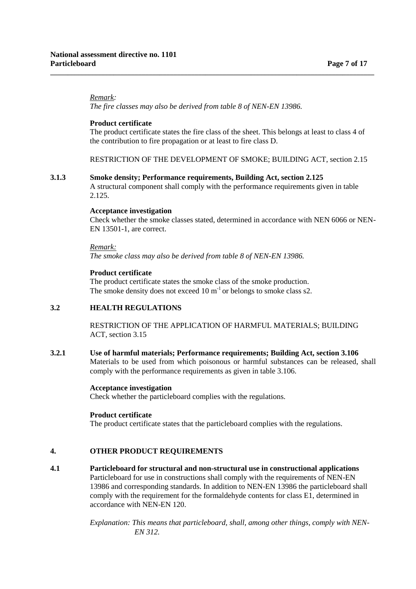### *Remark:*

*The fire classes may also be derived from table 8 of NEN-EN 13986.* 

**\_\_\_\_\_\_\_\_\_\_\_\_\_\_\_\_\_\_\_\_\_\_\_\_\_\_\_\_\_\_\_\_\_\_\_\_\_\_\_\_\_\_\_\_\_\_\_\_\_\_\_\_\_\_\_\_\_\_\_\_\_\_\_\_\_\_\_\_\_\_\_\_\_\_\_\_\_\_\_\_\_\_\_\_\_\_\_\_\_\_\_\_**

### **Product certificate**

The product certificate states the fire class of the sheet. This belongs at least to class 4 of the contribution to fire propagation or at least to fire class D.

RESTRICTION OF THE DEVELOPMENT OF SMOKE; BUILDING ACT, section 2.15

#### **3.1.3 Smoke density; Performance requirements, Building Act, section 2.125**

A structural component shall comply with the performance requirements given in table 2.125.

#### **Acceptance investigation**

Check whether the smoke classes stated, determined in accordance with NEN 6066 or NEN-EN 13501-1, are correct.

#### *Remark:*

*The smoke class may also be derived from table 8 of NEN-EN 13986.*

# **Product certificate**

The product certificate states the smoke class of the smoke production. The smoke density does not exceed  $10 \text{ m}^{-1}$  or belongs to smoke class s2.

# **3.2 HEALTH REGULATIONS**

RESTRICTION OF THE APPLICATION OF HARMFUL MATERIALS; BUILDING ACT, section 3.15

# **3.2.1 Use of harmful materials; Performance requirements; Building Act, section 3.106** Materials to be used from which poisonous or harmful substances can be released, shall comply with the performance requirements as given in table 3.106.

### **Acceptance investigation**

Check whether the particleboard complies with the regulations.

#### **Product certificate**

The product certificate states that the particleboard complies with the regulations.

# **4. OTHER PRODUCT REQUIREMENTS**

**4.1 Particleboard for structural and non-structural use in constructional applications**  Particleboard for use in constructions shall comply with the requirements of NEN-EN 13986 and corresponding standards. In addition to NEN-EN 13986 the particleboard shall comply with the requirement for the formaldehyde contents for class E1, determined in accordance with NEN-EN 120.

> *Explanation: This means that particleboard, shall, among other things, comply with NEN-EN 312.*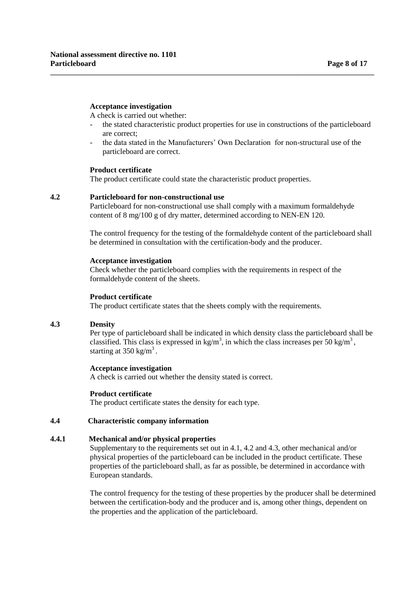### **Acceptance investigation**

A check is carried out whether:

- the stated characteristic product properties for use in constructions of the particleboard are correct;
- the data stated in the Manufacturers' Own Declaration for non-structural use of the particleboard are correct.

**\_\_\_\_\_\_\_\_\_\_\_\_\_\_\_\_\_\_\_\_\_\_\_\_\_\_\_\_\_\_\_\_\_\_\_\_\_\_\_\_\_\_\_\_\_\_\_\_\_\_\_\_\_\_\_\_\_\_\_\_\_\_\_\_\_\_\_\_\_\_\_\_\_\_\_\_\_\_\_\_\_\_\_\_\_\_\_\_\_\_\_\_**

#### **Product certificate**

The product certificate could state the characteristic product properties.

### **4.2 Particleboard for non-constructional use**

Particleboard for non-constructional use shall comply with a maximum formaldehyde content of 8 mg/100 g of dry matter, determined according to NEN-EN 120.

The control frequency for the testing of the formaldehyde content of the particleboard shall be determined in consultation with the certification-body and the producer.

#### **Acceptance investigation**

Check whether the particleboard complies with the requirements in respect of the formaldehyde content of the sheets.

# **Product certificate**

The product certificate states that the sheets comply with the requirements.

#### **4.3 Density**

Per type of particleboard shall be indicated in which density class the particleboard shall be classified. This class is expressed in kg/m<sup>3</sup>, in which the class increases per 50 kg/m<sup>3</sup>, starting at  $350 \text{ kg/m}^3$ .

# **Acceptance investigation**

A check is carried out whether the density stated is correct.

# **Product certificate**

The product certificate states the density for each type.

# **4.4 Characteristic company information**

# **4.4.1 Mechanical and/or physical properties**

Supplementary to the requirements set out in 4.1, 4.2 and 4.3, other mechanical and/or physical properties of the particleboard can be included in the product certificate. These properties of the particleboard shall, as far as possible, be determined in accordance with European standards.

The control frequency for the testing of these properties by the producer shall be determined between the certification-body and the producer and is, among other things, dependent on the properties and the application of the particleboard.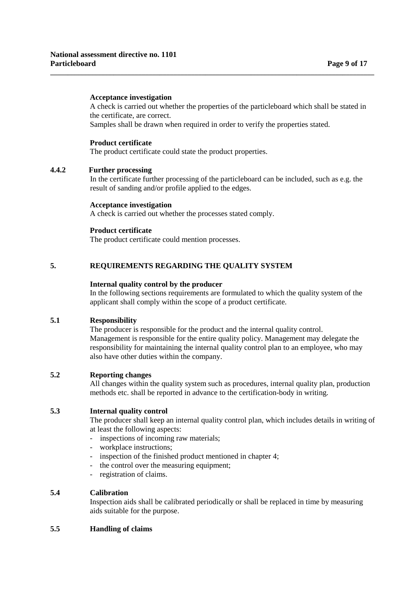# **Acceptance investigation**

A check is carried out whether the properties of the particleboard which shall be stated in the certificate, are correct.

Samples shall be drawn when required in order to verify the properties stated.

**\_\_\_\_\_\_\_\_\_\_\_\_\_\_\_\_\_\_\_\_\_\_\_\_\_\_\_\_\_\_\_\_\_\_\_\_\_\_\_\_\_\_\_\_\_\_\_\_\_\_\_\_\_\_\_\_\_\_\_\_\_\_\_\_\_\_\_\_\_\_\_\_\_\_\_\_\_\_\_\_\_\_\_\_\_\_\_\_\_\_\_\_**

### **Product certificate**

The product certificate could state the product properties.

# **4.4.2 Further processing**

In the certificate further processing of the particleboard can be included, such as e.g. the result of sanding and/or profile applied to the edges.

### **Acceptance investigation**

A check is carried out whether the processes stated comply.

### **Product certificate**

The product certificate could mention processes.

# **5. REQUIREMENTS REGARDING THE QUALITY SYSTEM**

### **Internal quality control by the producer**

In the following sections requirements are formulated to which the quality system of the applicant shall comply within the scope of a product certificate.

# **5.1 Responsibility**

The producer is responsible for the product and the internal quality control. Management is responsible for the entire quality policy. Management may delegate the responsibility for maintaining the internal quality control plan to an employee, who may also have other duties within the company.

# **5.2 Reporting changes**

All changes within the quality system such as procedures, internal quality plan, production methods etc. shall be reported in advance to the certification-body in writing.

# **5.3 Internal quality control**

The producer shall keep an internal quality control plan, which includes details in writing of at least the following aspects:

- inspections of incoming raw materials;
- workplace instructions;
- inspection of the finished product mentioned in chapter 4;
- the control over the measuring equipment;
- registration of claims.

# **5.4 Calibration**

Inspection aids shall be calibrated periodically or shall be replaced in time by measuring aids suitable for the purpose.

# **5.5 Handling of claims**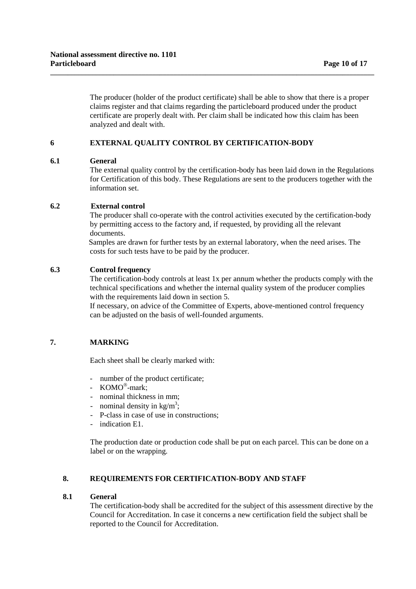The producer (holder of the product certificate) shall be able to show that there is a proper claims register and that claims regarding the particleboard produced under the product certificate are properly dealt with. Per claim shall be indicated how this claim has been analyzed and dealt with.

**\_\_\_\_\_\_\_\_\_\_\_\_\_\_\_\_\_\_\_\_\_\_\_\_\_\_\_\_\_\_\_\_\_\_\_\_\_\_\_\_\_\_\_\_\_\_\_\_\_\_\_\_\_\_\_\_\_\_\_\_\_\_\_\_\_\_\_\_\_\_\_\_\_\_\_\_\_\_\_\_\_\_\_\_\_\_\_\_\_\_\_\_**

# **6 EXTERNAL QUALITY CONTROL BY CERTIFICATION-BODY**

# **6.1 General**

The external quality control by the certification-body has been laid down in the Regulations for Certification of this body. These Regulations are sent to the producers together with the information set.

# **6.2** External control

The producer shall co-operate with the control activities executed by the certification-body by permitting access to the factory and, if requested, by providing all the relevant documents.

Samples are drawn for further tests by an external laboratory, when the need arises. The costs for such tests have to be paid by the producer.

# **6.3 Control frequency**

The certification-body controls at least 1x per annum whether the products comply with the technical specifications and whether the internal quality system of the producer complies with the requirements laid down in section 5.

If necessary, on advice of the Committee of Experts, above-mentioned control frequency can be adjusted on the basis of well-founded arguments.

# **7. MARKING**

Each sheet shall be clearly marked with:

- number of the product certificate;
- KOMO®-mark;
- nominal thickness in mm;
- nominal density in  $\text{kg/m}^3$ ;
- P-class in case of use in constructions;
- indication E1.

The production date or production code shall be put on each parcel. This can be done on a label or on the wrapping.

# **8. REQUIREMENTS FOR CERTIFICATION-BODY AND STAFF**

# **8.1 General**

The certification-body shall be accredited for the subject of this assessment directive by the Council for Accreditation. In case it concerns a new certification field the subject shall be reported to the Council for Accreditation.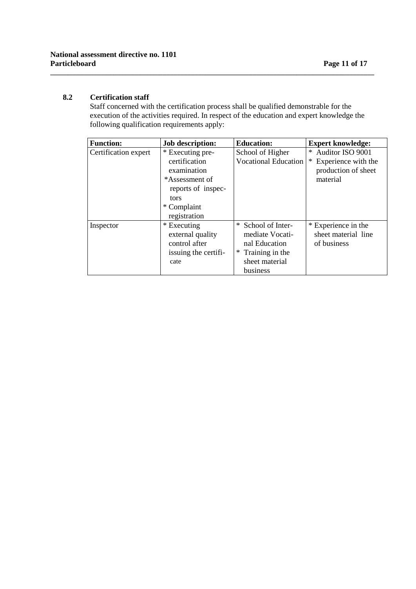# **8.2 Certification staff**

Staff concerned with the certification process shall be qualified demonstrable for the execution of the activities required. In respect of the education and expert knowledge the following qualification requirements apply:

**\_\_\_\_\_\_\_\_\_\_\_\_\_\_\_\_\_\_\_\_\_\_\_\_\_\_\_\_\_\_\_\_\_\_\_\_\_\_\_\_\_\_\_\_\_\_\_\_\_\_\_\_\_\_\_\_\_\_\_\_\_\_\_\_\_\_\_\_\_\_\_\_\_\_\_\_\_\_\_\_\_\_\_\_\_\_\_\_\_\_\_\_**

| <b>Function:</b>     | <b>Job description:</b>                                                                                                         | <b>Education:</b>                                                                                       | <b>Expert knowledge:</b>                                                     |
|----------------------|---------------------------------------------------------------------------------------------------------------------------------|---------------------------------------------------------------------------------------------------------|------------------------------------------------------------------------------|
| Certification expert | * Executing pre-<br>certification<br>examination<br>*Assessment of<br>reports of inspec-<br>tors<br>* Complaint<br>registration | School of Higher<br><b>Vocational Education</b>                                                         | * Auditor ISO 9001<br>Experience with the<br>production of sheet<br>material |
| Inspector            | * Executing<br>external quality<br>control after<br>is suing the certifi-<br>cate                                               | * School of Inter-<br>mediate Vocati-<br>nal Education<br>Training in the<br>sheet material<br>business | * Experience in the<br>sheet material line<br>of business                    |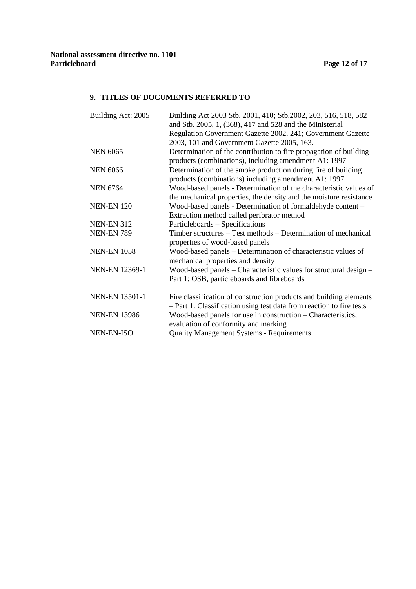# **9. TITLES OF DOCUMENTS REFERRED TO**

**\_\_\_\_\_\_\_\_\_\_\_\_\_\_\_\_\_\_\_\_\_\_\_\_\_\_\_\_\_\_\_\_\_\_\_\_\_\_\_\_\_\_\_\_\_\_\_\_\_\_\_\_\_\_\_\_\_\_\_\_\_\_\_\_\_\_\_\_\_\_\_\_\_\_\_\_\_\_\_\_\_\_\_\_\_\_\_\_\_\_\_\_**

| Building Act: 2005    | Building Act 2003 Stb. 2001, 410; Stb.2002, 203, 516, 518, 582<br>and Stb. 2005, 1, (368), 417 and 528 and the Ministerial |
|-----------------------|----------------------------------------------------------------------------------------------------------------------------|
|                       | Regulation Government Gazette 2002, 241; Government Gazette                                                                |
|                       | 2003, 101 and Government Gazette 2005, 163.                                                                                |
| <b>NEN 6065</b>       | Determination of the contribution to fire propagation of building                                                          |
|                       | products (combinations), including amendment A1: 1997                                                                      |
| <b>NEN 6066</b>       | Determination of the smoke production during fire of building                                                              |
|                       | products (combinations) including amendment A1: 1997                                                                       |
| <b>NEN 6764</b>       | Wood-based panels - Determination of the characteristic values of                                                          |
|                       | the mechanical properties, the density and the moisture resistance                                                         |
| <b>NEN-EN 120</b>     | Wood-based panels - Determination of formaldehyde content -                                                                |
|                       | Extraction method called perforator method                                                                                 |
| <b>NEN-EN 312</b>     | Particleboards – Specifications                                                                                            |
| <b>NEN-EN 789</b>     | Timber structures – Test methods – Determination of mechanical                                                             |
|                       | properties of wood-based panels                                                                                            |
| <b>NEN-EN 1058</b>    | Wood-based panels – Determination of characteristic values of                                                              |
|                       | mechanical properties and density                                                                                          |
| <b>NEN-EN 12369-1</b> | Wood-based panels – Characteristic values for structural design –                                                          |
|                       | Part 1: OSB, particleboards and fibreboards                                                                                |
| <b>NEN-EN 13501-1</b> | Fire classification of construction products and building elements                                                         |
|                       | - Part 1: Classification using test data from reaction to fire tests                                                       |
| <b>NEN-EN 13986</b>   | Wood-based panels for use in construction – Characteristics,                                                               |
|                       | evaluation of conformity and marking                                                                                       |
| NEN-EN-ISO            | <b>Quality Management Systems - Requirements</b>                                                                           |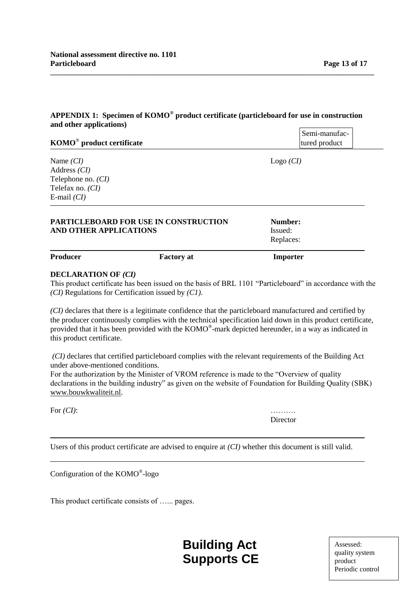# **APPENDIX 1: Specimen of KOMO® product certificate (particleboard for use in construction and other applications)**

**\_\_\_\_\_\_\_\_\_\_\_\_\_\_\_\_\_\_\_\_\_\_\_\_\_\_\_\_\_\_\_\_\_\_\_\_\_\_\_\_\_\_\_\_\_\_\_\_\_\_\_\_\_\_\_\_\_\_\_\_\_\_\_\_\_\_\_\_\_\_\_\_\_\_\_\_\_\_\_\_\_\_\_\_\_\_\_\_\_\_\_\_**

|                                       | Semi-manufac-  |  |
|---------------------------------------|----------------|--|
| KOMO <sup>®</sup> product certificate | Itured product |  |
|                                       |                |  |

Name *(CI)* Logo *(CI)* Address *(CI)* Telephone no. *(CI)* Telefax no. *(CI)* E-mail *(CI)*

| AND OTHER APPLICATIONS | <b>PARTICLEBOARD FOR USE IN CONSTRUCTION</b> | Number:<br>Issued:<br>Replaces: |  |
|------------------------|----------------------------------------------|---------------------------------|--|
| <b>Producer</b>        | <b>Factory at</b>                            | Importer                        |  |

# **DECLARATION OF** *(CI)*

This product certificate has been issued on the basis of BRL 1101 "Particleboard" in accordance with the *(CI)* Regulations for Certification issued by *(C1)*.

*(CI)* declares that there is a legitimate confidence that the particleboard manufactured and certified by the producer continuously complies with the technical specification laid down in this product certificate, provided that it has been provided with the KOMO®-mark depicted hereunder, in a way as indicated in this product certificate.

*(CI)* declares that certified particleboard complies with the relevant requirements of the Building Act under above-mentioned conditions.

For the authorization by the Minister of VROM reference is made to the "Overview of quality declarations in the building industry" as given on the website of Foundation for Building Quality (SBK) www.bouwkwaliteit.nl.

For  $(CI)$ :

**Director** 

Users of this product certificate are advised to enquire at *(CI)* whether this document is still valid.

Configuration of the KOMO® -logo

This product certificate consists of …... pages.

**Building Act Supports CE**

Assessed: quality system product and product Periodic control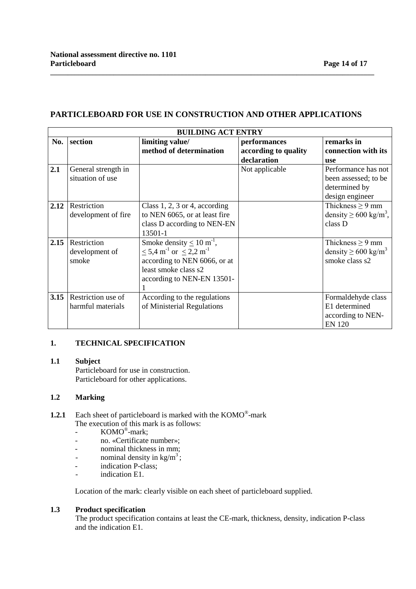# **PARTICLEBOARD FOR USE IN CONSTRUCTION AND OTHER APPLICATIONS**

**\_\_\_\_\_\_\_\_\_\_\_\_\_\_\_\_\_\_\_\_\_\_\_\_\_\_\_\_\_\_\_\_\_\_\_\_\_\_\_\_\_\_\_\_\_\_\_\_\_\_\_\_\_\_\_\_\_\_\_\_\_\_\_\_\_\_\_\_\_\_\_\_\_\_\_\_\_\_\_\_\_\_\_\_\_\_\_\_\_\_\_\_**

| <b>BUILDING ACT ENTRY</b> |                                         |                                                                                                                                                                                            |                                                     |                                                                                 |  |
|---------------------------|-----------------------------------------|--------------------------------------------------------------------------------------------------------------------------------------------------------------------------------------------|-----------------------------------------------------|---------------------------------------------------------------------------------|--|
| No.                       | section                                 | limiting value/<br>method of determination                                                                                                                                                 | performances<br>according to quality<br>declaration | remarks in<br>connection with its<br><b>use</b>                                 |  |
| 2.1                       | General strength in<br>situation of use |                                                                                                                                                                                            | Not applicable                                      | Performance has not<br>been assessed; to be<br>determined by<br>design engineer |  |
| 2.12                      | Restriction<br>development of fire      | Class 1, 2, 3 or 4, according<br>to NEN 6065, or at least fire<br>class D according to NEN-EN<br>13501-1                                                                                   |                                                     | Thickness $\geq$ 9 mm<br>density $\geq 600 \text{ kg/m}^3$ ,<br>class D         |  |
| 2.15                      | Restriction<br>development of<br>smoke  | Smoke density $\leq 10 \text{ m}^{-1}$ ,<br>$\leq$ 5,4 m <sup>-1</sup> or $\leq$ 2,2 m <sup>-1</sup><br>according to NEN 6066, or at<br>least smoke class s2<br>according to NEN-EN 13501- |                                                     | Thickness $\geq$ 9 mm<br>density $\geq 600 \text{ kg/m}^3$<br>smoke class s2    |  |
| 3.15                      | Restriction use of<br>harmful materials | According to the regulations<br>of Ministerial Regulations                                                                                                                                 |                                                     | Formaldehyde class<br>E1 determined<br>according to NEN-<br><b>EN 120</b>       |  |

# **1. TECHNICAL SPECIFICATION**

# **1.1 Subject**

Particleboard for use in construction. Particleboard for other applications.

# **1.2 Marking**

- **1.2.1** Each sheet of particleboard is marked with the KOMO®-mark The execution of this mark is as follows:
	- KOMO<sup>®</sup>-mark;
	- no. «Certificate number»;
	- nominal thickness in mm;
	- nominal density in  $\text{kg/m}^3$ ;
	- indication P-class;
	- indication E1.

Location of the mark: clearly visible on each sheet of particleboard supplied.

# **1.3 Product specification**

The product specification contains at least the CE-mark, thickness, density, indication P-class and the indication E1.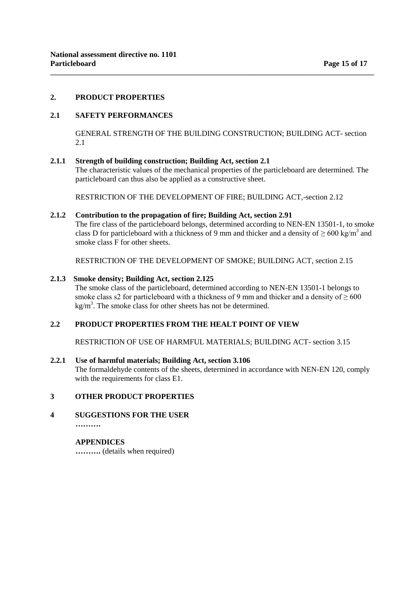# **2. PRODUCT PROPERTIES**

# **2.1 SAFETY PERFORMANCES**

GENERAL STRENGTH OF THE BUILDING CONSTRUCTION; BUILDING ACT- section 2.1

**\_\_\_\_\_\_\_\_\_\_\_\_\_\_\_\_\_\_\_\_\_\_\_\_\_\_\_\_\_\_\_\_\_\_\_\_\_\_\_\_\_\_\_\_\_\_\_\_\_\_\_\_\_\_\_\_\_\_\_\_\_\_\_\_\_\_\_\_\_\_\_\_\_\_\_\_\_\_\_\_\_\_\_\_\_\_\_\_\_\_\_\_**

### **2.1.1 Strength of building construction; Building Act, section 2.1**

The characteristic values of the mechanical properties of the particleboard are determined. The particleboard can thus also be applied as a constructive sheet.

RESTRICTION OF THE DEVELOPMENT OF FIRE; BUILDING ACT,-section 2.12

### **2.1.2 Contribution to the propagation of fire; Building Act, section 2.91**

The fire class of the particleboard belongs, determined according to NEN-EN 13501-1, to smoke class D for particleboard with a thickness of 9 mm and thicker and a density of  $\geq 600 \text{ kg/m}^3$  and smoke class F for other sheets.

RESTRICTION OF THE DEVELOPMENT OF SMOKE; BUILDING ACT, section 2.15

### **2.1.3 Smoke density; Building Act, section 2.125**

The smoke class of the particleboard, determined according to NEN-EN 13501-1 belongs to smoke class s2 for particleboard with a thickness of 9 mm and thicker and a density of  $\geq 600$  $\text{kg/m}^3$ . The smoke class for other sheets has not be determined.

# **2.2 PRODUCT PROPERTIES FROM THE HEALT POINT OF VIEW**

RESTRICTION OF USE OF HARMFUL MATERIALS; BUILDING ACT- section 3.15

# **2.2.1 Use of harmful materials; Building Act, section 3.106**

The formaldehyde contents of the sheets, determined in accordance with NEN-EN 120, comply with the requirements for class E1.

# **3 OTHER PRODUCT PROPERTIES**

# **4 SUGGESTIONS FOR THE USER**

 **……….**

# **APPENDICES**

 **……….** (details when required)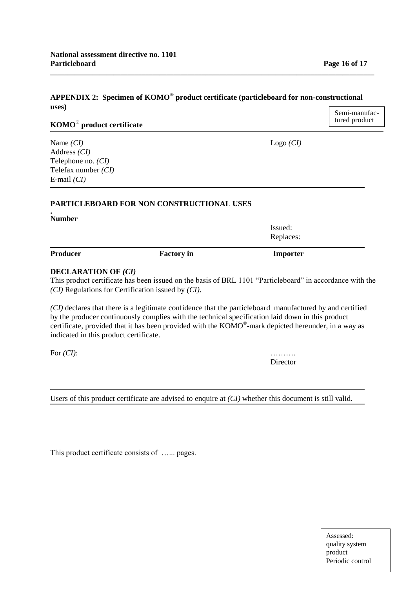#### **APPENDIX 2: Specimen of KOMO**® **product certificate (particleboard for non-constructional uses)** Semi-manufac-

# **KOMO**® **product certificate**

Address *(CI)* Telephone no. *(CI)* Telefax number *(CI)* E-mail *(CI)*

### **PARTICLEBOARD FOR NON CONSTRUCTIONAL USES**

**. Number**

**Producer Factory in** Importer

### **DECLARATION OF** *(CI)*

This product certificate has been issued on the basis of BRL 1101 "Particleboard" in accordance with the *(CI)* Regulations for Certification issued by *(CI)*.

*(CI)* declares that there is a legitimate confidence that the particleboard manufactured by and certified by the producer continuously complies with the technical specification laid down in this product certificate, provided that it has been provided with the  $KOMO^*$ -mark depicted hereunder, in a way as indicated in this product certificate.

For *(CI)*: ……….

Director

Users of this product certificate are advised to enquire at *(CI)* whether this document is still valid.

This product certificate consists of ...... pages.

tured product

Assessed: quality system product quality systems of  $\mathbb{R}^n$ Periodic control

Name *(CI)* Logo *(CI)*

Issued: Replaces: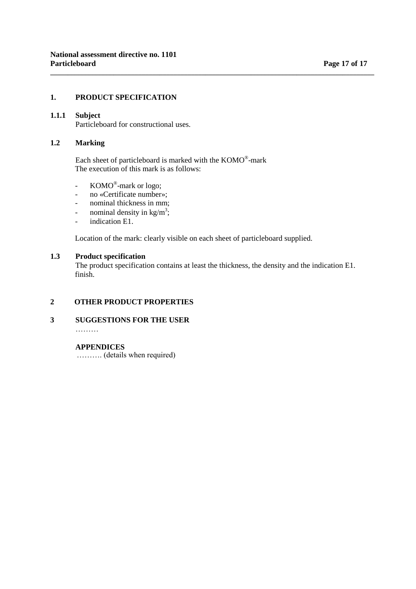# **1. PRODUCT SPECIFICATION**

# **1.1.1 Subject**

Particleboard for constructional uses.

# **1.2 Marking**

Each sheet of particleboard is marked with the KOMO®-mark The execution of this mark is as follows:

- KOMO<sup>®</sup>-mark or logo;
- no «Certificate number»;
- nominal thickness in mm;
- nominal density in  $\text{kg/m}^3$ ;
- indication E1.

Location of the mark: clearly visible on each sheet of particleboard supplied.

# **1.3 Product specification**

The product specification contains at least the thickness, the density and the indication E1. finish.

**\_\_\_\_\_\_\_\_\_\_\_\_\_\_\_\_\_\_\_\_\_\_\_\_\_\_\_\_\_\_\_\_\_\_\_\_\_\_\_\_\_\_\_\_\_\_\_\_\_\_\_\_\_\_\_\_\_\_\_\_\_\_\_\_\_\_\_\_\_\_\_\_\_\_\_\_\_\_\_\_\_\_\_\_\_\_\_\_\_\_\_\_**

# **2 OTHER PRODUCT PROPERTIES**

**3 SUGGESTIONS FOR THE USER**

………

# **APPENDICES**

………. (details when required)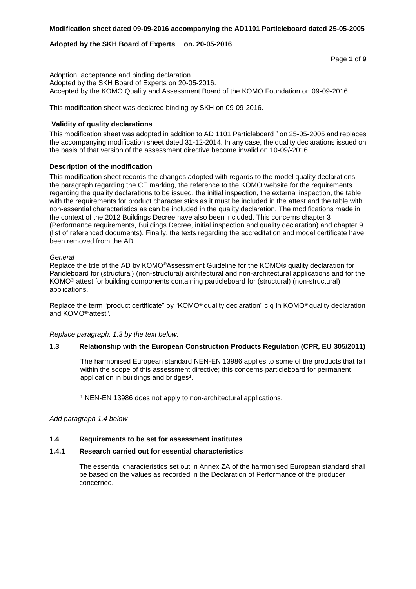### **Adopted by the SKH Board of Experts on. 20-05-2016**

Adoption, acceptance and binding declaration Adopted by the SKH Board of Experts on 20-05-2016. Accepted by the KOMO Quality and Assessment Board of the KOMO Foundation on 09-09-2016.

This modification sheet was declared binding by SKH on 09-09-2016.

### **Validity of quality declarations**

This modification sheet was adopted in addition to AD 1101 Particleboard " on 25-05-2005 and replaces the accompanying modification sheet dated 31-12-2014. In any case, the quality declarations issued on the basis of that version of the assessment directive become invalid on 10-09/-2016.

#### **Description of the modification**

This modification sheet records the changes adopted with regards to the model quality declarations, the paragraph regarding the CE marking, the reference to the KOMO website for the requirements regarding the quality declarations to be issued, the initial inspection, the external inspection, the table with the requirements for product characteristics as it must be included in the attest and the table with non-essential characteristics as can be included in the quality declaration. The modifications made in the context of the 2012 Buildings Decree have also been included. This concerns chapter 3 (Performance requirements, Buildings Decree, initial inspection and quality declaration) and chapter 9 (list of referenced documents). Finally, the texts regarding the accreditation and model certificate have been removed from the AD.

#### *General*

Replace the title of the AD by KOMO®Assessment Guideline for the KOMO® quality declaration for Paricleboard for (structural) (non-structural) architectural and non-architectural applications and for the KOMO® attest for building components containing particleboard for (structural) (non-structural) applications.

Replace the term "product certificate" by "KOMO® quality declaration" c.q in KOMO® quality declaration and KOMO®-attest".

*Replace paragraph. 1.3 by the text below:*

# **1.3 Relationship with the European Construction Products Regulation (CPR, EU 305/2011)**

The harmonised European standard NEN-EN 13986 applies to some of the products that fall within the scope of this assessment directive; this concerns particleboard for permanent application in buildings and bridges<sup>1</sup>.

<sup>1</sup> NEN-EN 13986 does not apply to non-architectural applications.

*Add paragraph 1.4 below*

### **1.4 Requirements to be set for assessment institutes**

#### **1.4.1 Research carried out for essential characteristics**

The essential characteristics set out in Annex ZA of the harmonised European standard shall be based on the values as recorded in the Declaration of Performance of the producer concerned.

Page **1** of **9**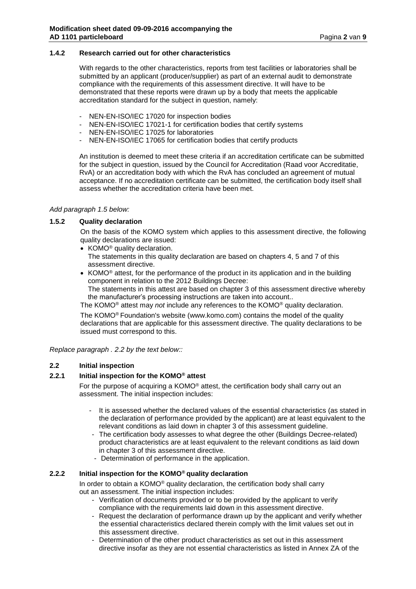### **1.4.2 Research carried out for other characteristics**

With regards to the other characteristics, reports from test facilities or laboratories shall be submitted by an applicant (producer/supplier) as part of an external audit to demonstrate compliance with the requirements of this assessment directive. It will have to be demonstrated that these reports were drawn up by a body that meets the applicable accreditation standard for the subject in question, namely:

- NEN-EN-ISO/IEC 17020 for inspection bodies
- NEN-EN-ISO/IEC 17021-1 for certification bodies that certify systems
- NEN-EN-ISO/IEC 17025 for laboratories
- NEN-EN-ISO/IEC 17065 for certification bodies that certify products

An institution is deemed to meet these criteria if an accreditation certificate can be submitted for the subject in question, issued by the Council for Accreditation (Raad voor Accreditatie, RvA) or an accreditation body with which the RvA has concluded an agreement of mutual acceptance. If no accreditation certificate can be submitted, the certification body itself shall assess whether the accreditation criteria have been met.

#### *Add paragraph 1.5 below:*

### **1.5.2 Quality declaration**

On the basis of the KOMO system which applies to this assessment directive, the following quality declarations are issued:

- KOMO<sup>®</sup> quality declaration.
- The statements in this quality declaration are based on chapters 4, 5 and 7 of this assessment directive.
- KOMO<sup>®</sup> attest, for the performance of the product in its application and in the building component in relation to the 2012 Buildings Decree: The statements in this attest are based on chapter 3 of this assessment directive whereby the manufacturer's processing instructions are taken into account..

The KOMO® attest may *not* include any references to the KOMO® quality declaration.

The KOMO® Foundation's website (www.komo.com) contains the model of the quality declarations that are applicable for this assessment directive. The quality declarations to be issued must correspond to this.

*Replace paragraph . 2.2 by the text below::*

# **2.2 Initial inspection**

# **2.2.1 Initial inspection for the KOMO® attest**

For the purpose of acquiring a KOMO® attest, the certification body shall carry out an assessment. The initial inspection includes:

- It is assessed whether the declared values of the essential characteristics (as stated in the declaration of performance provided by the applicant) are at least equivalent to the relevant conditions as laid down in chapter 3 of this assessment guideline.
- The certification body assesses to what degree the other (Buildings Decree-related) product characteristics are at least equivalent to the relevant conditions as laid down in chapter 3 of this assessment directive.
- Determination of performance in the application.

# **2.2.2 Initial inspection for the KOMO® quality declaration**

In order to obtain a KOMO® quality declaration, the certification body shall carry out an assessment. The initial inspection includes:

- Verification of documents provided or to be provided by the applicant to verify compliance with the requirements laid down in this assessment directive.
- Request the declaration of performance drawn up by the applicant and verify whether the essential characteristics declared therein comply with the limit values set out in this assessment directive.
- Determination of the other product characteristics as set out in this assessment directive insofar as they are not essential characteristics as listed in Annex ZA of the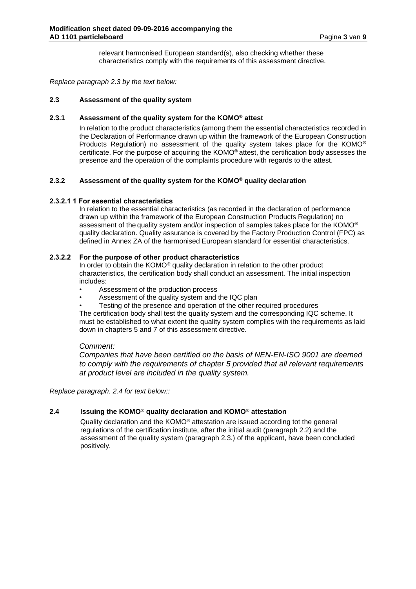relevant harmonised European standard(s), also checking whether these characteristics comply with the requirements of this assessment directive.

*Replace paragraph 2.3 by the text below:*

### **2.3 Assessment of the quality system**

### **2.3.1 Assessment of the quality system for the KOMO® attest**

In relation to the product characteristics (among them the essential characteristics recorded in the Declaration of Performance drawn up within the framework of the European Construction Products Regulation) no assessment of the quality system takes place for the KOMO**®** certificate. For the purpose of acquiring the KOMO® attest, the certification body assesses the presence and the operation of the complaints procedure with regards to the attest.

# **2.3.2 Assessment of the quality system for the KOMO® quality declaration**

### **2.3.2.1 1 For essential characteristics**

In relation to the essential characteristics (as recorded in the declaration of performance drawn up within the framework of the European Construction Products Regulation) no assessment of the quality system and/or inspection of samples takes place for the KOMO**®**  quality declaration. Quality assurance is covered by the Factory Production Control (FPC) as defined in Annex ZA of the harmonised European standard for essential characteristics.

### **2.3.2.2 For the purpose of other product characteristics**

In order to obtain the KOMO® quality declaration in relation to the other product characteristics, the certification body shall conduct an assessment. The initial inspection includes:

- Assessment of the production process
- Assessment of the quality system and the IQC plan
- Testing of the presence and operation of the other required procedures

The certification body shall test the quality system and the corresponding IQC scheme. It must be established to what extent the quality system complies with the requirements as laid down in chapters 5 and 7 of this assessment directive.

### *Comment:*

*Companies that have been certified on the basis of NEN-EN-ISO 9001 are deemed to comply with the requirements of chapter 5 provided that all relevant requirements at product level are included in the quality system.*

*Replace paragraph. 2.4 for text below::*

# **2.4 Issuing the KOMO**® **quality declaration and KOMO**® **attestation**

Quality declaration and the KOMO® attestation are issued according tot the general regulations of the certification institute, after the initial audit (paragraph 2.2) and the assessment of the quality system (paragraph 2.3.) of the applicant, have been concluded positively.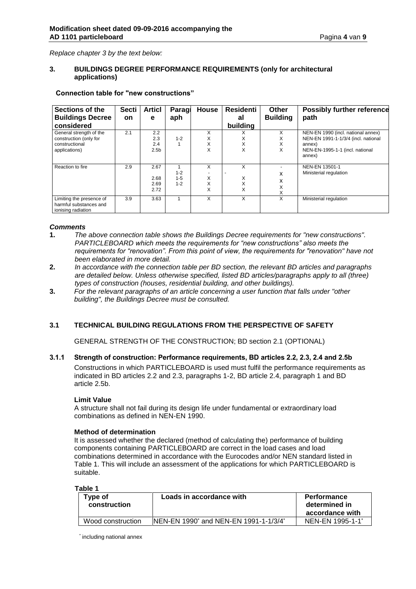*Replace chapter 3 by the text below:*

### **3. BUILDINGS DEGREE PERFORMANCE REQUIREMENTS (only for architectural applications)**

| Sections of the                                                                      | <b>Secti</b> | <b>Articl</b>                         | Paragi                        | <b>House</b>     | Residenti        | Other            | <b>Possibly further reference</b>                                                                                      |
|--------------------------------------------------------------------------------------|--------------|---------------------------------------|-------------------------------|------------------|------------------|------------------|------------------------------------------------------------------------------------------------------------------------|
| <b>Buildings Decree</b>                                                              | <b>on</b>    | е                                     | aph                           |                  | al               | <b>Building</b>  | path                                                                                                                   |
| considered                                                                           |              |                                       |                               |                  | building         |                  |                                                                                                                        |
| General strength of the<br>construction (only for<br>constructional<br>applications) | 2.1          | 2.2<br>2.3<br>2.4<br>2.5 <sub>b</sub> | $1 - 2$                       | X<br>X<br>X<br>X | ⋏<br>X<br>X<br>X | X<br>X<br>X<br>X | NEN-EN 1990 (incl. national annex)<br>NEN-EN 1991-1-1/3/4 (incl. national<br>annex)<br>NEN-EN-1995-1-1 (incl. national |
|                                                                                      |              |                                       |                               |                  |                  |                  | annex)                                                                                                                 |
| Reaction to fire                                                                     | 2.9          | 2.67<br>2.68<br>2.69<br>2.72          | $1 - 2$<br>$1 - 5$<br>$1 - 2$ | X<br>X<br>X<br>X | X<br>Х<br>X<br>X | x<br>x<br>X<br>X | NEN-EN 13501-1<br>Ministerial regulation                                                                               |
| Limiting the presence of<br>harmful substances and<br>ionising radiation             | 3.9          | 3.63                                  |                               | X                | X                | X                | Ministerial regulation                                                                                                 |

### **Connection table for "new constructions"**

# *Comments*

- **1.** *The above connection table shows the Buildings Decree requirements for "new constructions". PARTICLEBOARD which meets the requirements for "new constructions" also meets the requirements for "renovation". From this point of view, the requirements for "renovation" have not been elaborated in more detail.*
- **2.** *In accordance with the connection table per BD section, the relevant BD articles and paragraphs are detailed below. Unless otherwise specified, listed BD articles/paragraphs apply to all (three) types of construction (houses, residential building, and other buildings).*
- **3.** *For the relevant paragraphs of an article concerning a user function that falls under "other building", the Buildings Decree must be consulted.*

# **3.1 TECHNICAL BUILDING REGULATIONS FROM THE PERSPECTIVE OF SAFETY**

GENERAL STRENGTH OF THE CONSTRUCTION; BD section 2.1 (OPTIONAL)

**3.1.1 Strength of construction: Performance requirements, BD articles 2.2, 2.3, 2.4 and 2.5b**  Constructions in which PARTICLEBOARD is used must fulfil the performance requirements as indicated in BD articles 2.2 and 2.3, paragraphs 1-2, BD article 2.4, paragraph 1 and BD article 2.5b.

#### **Limit Value**

A structure shall not fail during its design life under fundamental or extraordinary load combinations as defined in NEN-EN 1990.

#### **Method of determination**

It is assessed whether the declared (method of calculating the) performance of building components containing PARTICLEBOARD are correct in the load cases and load combinations determined in accordance with the Eurocodes and/or NEN standard listed in Table 1. This will include an assessment of the applications for which PARTICLEBOARD is suitable.

**Table 1**

| Type of<br>construction | Loads in accordance with                                      | <b>Performance</b><br>determined in<br>accordance with |
|-------------------------|---------------------------------------------------------------|--------------------------------------------------------|
| Wood construction       | NEN-EN 1990 <sup>*</sup> and NEN-EN 1991-1-1/3/4 <sup>*</sup> | NEN-EN 1995-1-1*                                       |

\* including national annex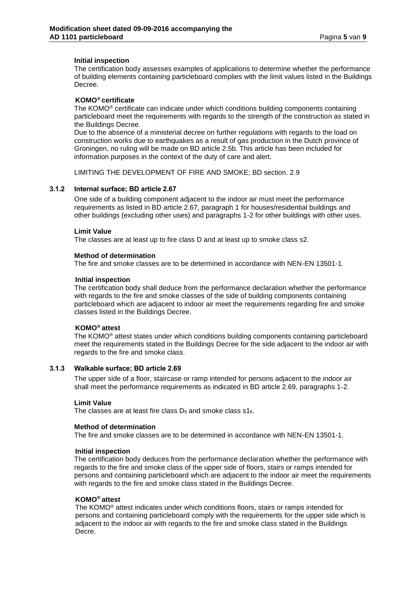#### **Initial inspection**

The certification body assesses examples of applications to determine whether the performance of building elements containing particleboard complies with the limit values listed in the Buildings Decree.

### **KOMO® certificate**

The KOMO® certificate can indicate under which conditions building components containing particleboard meet the requirements with regards to the strength of the construction as stated in the Buildings Decree.

Due to the absence of a ministerial decree on further regulations with regards to the load on construction works due to earthquakes as a result of gas production in the Dutch province of Groningen, no ruling will be made on BD article 2.5b. This article has been included for information purposes in the context of the duty of care and alert.

LIMITING THE DEVELOPMENT OF FIRE AND SMOKE; BD section. 2.9

#### **3.1.2 Internal surface; BD article 2.67**

One side of a building component adjacent to the indoor air must meet the performance requirements as listed in BD article 2.67, paragraph 1 for houses/residential buildings and other buildings (excluding other uses) and paragraphs 1-2 for other buildings with other uses.

#### **Limit Value**

The classes are at least up to fire class D and at least up to smoke class s2.

#### **Method of determination**

The fire and smoke classes are to be determined in accordance with NEN-EN 13501-1.

#### **Initial inspection**

The certification body shall deduce from the performance declaration whether the performance with regards to the fire and smoke classes of the side of building components containing particleboard which are adjacent to indoor air meet the requirements regarding fire and smoke classes listed in the Buildings Decree.

# **KOMO® attest**

The KOMO® attest states under which conditions building components containing particleboard meet the requirements stated in the Buildings Decree for the side adjacent to the indoor air with regards to the fire and smoke class.

#### **3.1.3 Walkable surface; BD article 2.69**

The upper side of a floor, staircase or ramp intended for persons adjacent to the indoor air shall meet the performance requirements as indicated in BD article 2.69, paragraphs 1-2.

#### **Limit Value**

The classes are at least fire class  $D_{fl}$  and smoke class  $51_{fl}$ .

#### **Method of determination**

The fire and smoke classes are to be determined in accordance with NEN-EN 13501-1.

#### **Initial inspection**

The certification body deduces from the performance declaration whether the performance with regards to the fire and smoke class of the upper side of floors, stairs or ramps intended for persons and containing particleboard which are adjacent to the indoor air meet the requirements with regards to the fire and smoke class stated in the Buildings Decree.

### **KOMO® attest**

The KOMO® attest indicates under which conditions floors, stairs or ramps intended for persons and containing particleboard comply with the requirements for the upper side which is adjacent to the indoor air with regards to the fire and smoke class stated in the Buildings Decre.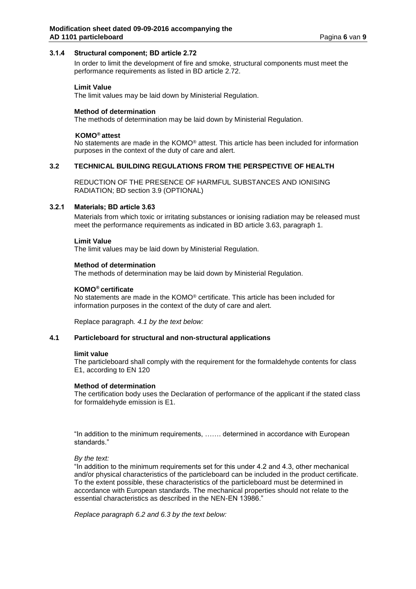#### **3.1.4 Structural component; BD article 2.72**

In order to limit the development of fire and smoke, structural components must meet the performance requirements as listed in BD article 2.72.

#### **Limit Value**

The limit values may be laid down by Ministerial Regulation.

#### **Method of determination**

The methods of determination may be laid down by Ministerial Regulation.

### **KOMO® attest**

No statements are made in the KOMO® attest. This article has been included for information purposes in the context of the duty of care and alert.

### **3.2 TECHNICAL BUILDING REGULATIONS FROM THE PERSPECTIVE OF HEALTH**

REDUCTION OF THE PRESENCE OF HARMFUL SUBSTANCES AND IONISING RADIATION; BD section 3.9 (OPTIONAL)

### **3.2.1 Materials; BD article 3.63**

Materials from which toxic or irritating substances or ionising radiation may be released must meet the performance requirements as indicated in BD article 3.63, paragraph 1.

#### **Limit Value**

The limit values may be laid down by Ministerial Regulation.

#### **Method of determination**

The methods of determination may be laid down by Ministerial Regulation.

#### **KOMO® certificate**

No statements are made in the KOMO® certificate. This article has been included for information purposes in the context of the duty of care and alert.

Replace paragraph*. 4.1 by the text below:*

#### **4.1 Particleboard for structural and non-structural applications**

#### **limit value**

The particleboard shall comply with the requirement for the formaldehyde contents for class E1, according to EN 120

#### **Method of determination**

The certification body uses the Declaration of performance of the applicant if the stated class for formaldehyde emission is E1.

"In addition to the minimum requirements, ……. determined in accordance with European standards."

*By the text:*

"In addition to the minimum requirements set for this under 4.2 and 4.3, other mechanical and/or physical characteristics of the particleboard can be included in the product certificate. To the extent possible, these characteristics of the particleboard must be determined in accordance with European standards. The mechanical properties should not relate to the essential characteristics as described in the NEN-EN 13986."

*Replace paragraph 6.2 and 6.3 by the text below:*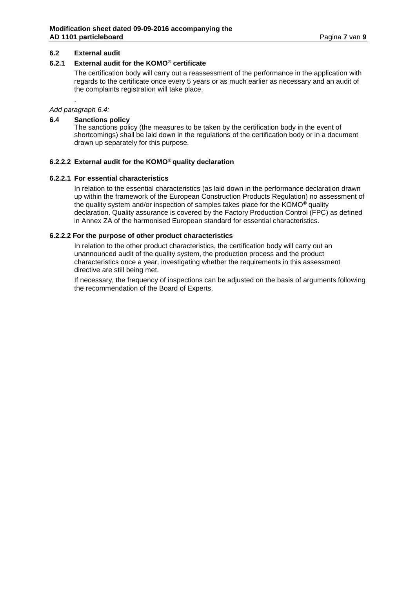### **6.2 External audit**

### **6.2.1 External audit for the KOMO® certificate**

The certification body will carry out a reassessment of the performance in the application with regards to the certificate once every 5 years or as much earlier as necessary and an audit of the complaints registration will take place.

# *Add paragraph 6.4:*

.

### **6.4 Sanctions policy**

The sanctions policy (the measures to be taken by the certification body in the event of shortcomings) shall be laid down in the regulations of the certification body or in a document drawn up separately for this purpose.

### **6.2.2.2 External audit for the KOMO® quality declaration**

### **6.2.2.1 For essential characteristics**

In relation to the essential characteristics (as laid down in the performance declaration drawn up within the framework of the European Construction Products Regulation) no assessment of the quality system and/or inspection of samples takes place for the KOMO**®** quality declaration. Quality assurance is covered by the Factory Production Control (FPC) as defined in Annex ZA of the harmonised European standard for essential characteristics.

### **6.2.2.2 For the purpose of other product characteristics**

In relation to the other product characteristics, the certification body will carry out an unannounced audit of the quality system, the production process and the product characteristics once a year, investigating whether the requirements in this assessment directive are still being met.

If necessary, the frequency of inspections can be adjusted on the basis of arguments following the recommendation of the Board of Experts.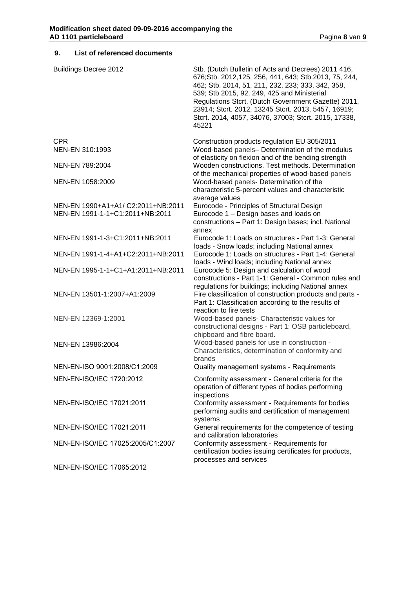# **9. List of referenced documents**

| <b>Buildings Decree 2012</b>       | Stb. (Dutch Bulletin of Acts and Decrees) 2011 416,<br>676; Stb. 2012, 125, 256, 441, 643; Stb. 2013, 75, 244,<br>462; Stb. 2014, 51, 211, 232, 233; 333, 342, 358,<br>539; Stb 2015, 92, 249, 425 and Ministerial<br>Regulations Stcrt. (Dutch Government Gazette) 2011,<br>23914; Stcrt. 2012, 13245 Stcrt. 2013, 5457, 16919;<br>Stcrt. 2014, 4057, 34076, 37003; Stcrt. 2015, 17338,<br>45221 |
|------------------------------------|---------------------------------------------------------------------------------------------------------------------------------------------------------------------------------------------------------------------------------------------------------------------------------------------------------------------------------------------------------------------------------------------------|
| <b>CPR</b>                         | Construction products regulation EU 305/2011                                                                                                                                                                                                                                                                                                                                                      |
| NEN-EN 310:1993                    | Wood-based panels- Determination of the modulus<br>of elasticity on flexion and of the bending strength                                                                                                                                                                                                                                                                                           |
| NEN-EN 789:2004                    | Wooden constructions. Test methods. Determination                                                                                                                                                                                                                                                                                                                                                 |
| NEN-EN 1058:2009                   | of the mechanical properties of wood-based panels<br>Wood-based panels- Determination of the<br>characteristic 5-percent values and characteristic                                                                                                                                                                                                                                                |
| NEN-EN 1990+A1+A1/ C2:2011+NB:2011 | average values<br>Eurocode - Principles of Structural Design                                                                                                                                                                                                                                                                                                                                      |
| NEN-EN 1991-1-1+C1:2011+NB:2011    | Eurocode 1 - Design bases and loads on<br>constructions - Part 1: Design bases; incl. National<br>annex                                                                                                                                                                                                                                                                                           |
| NEN-EN 1991-1-3+C1:2011+NB:2011    | Eurocode 1: Loads on structures - Part 1-3: General<br>loads - Snow loads; including National annex                                                                                                                                                                                                                                                                                               |
| NEN-EN 1991-1-4+A1+C2:2011+NB:2011 | Eurocode 1: Loads on structures - Part 1-4: General<br>loads - Wind loads; including National annex                                                                                                                                                                                                                                                                                               |
| NEN-EN 1995-1-1+C1+A1:2011+NB:2011 | Eurocode 5: Design and calculation of wood<br>constructions - Part 1-1: General - Common rules and<br>regulations for buildings; including National annex                                                                                                                                                                                                                                         |
| NEN-EN 13501-1:2007+A1:2009        | Fire classification of construction products and parts -<br>Part 1: Classification according to the results of<br>reaction to fire tests                                                                                                                                                                                                                                                          |
| NEN-EN 12369-1:2001                | Wood-based panels- Characteristic values for<br>constructional designs - Part 1: OSB particleboard,<br>chipboard and fibre board.                                                                                                                                                                                                                                                                 |
| NEN-EN 13986:2004                  | Wood-based panels for use in construction -<br>Characteristics, determination of conformity and<br>brands                                                                                                                                                                                                                                                                                         |
| NEN-EN-ISO 9001:2008/C1:2009       | Quality management systems - Requirements                                                                                                                                                                                                                                                                                                                                                         |
| NEN-EN-ISO/IEC 1720:2012           | Conformity assessment - General criteria for the<br>operation of different types of bodies performing<br>inspections                                                                                                                                                                                                                                                                              |
| NEN-EN-ISO/IEC 17021:2011          | Conformity assessment - Requirements for bodies<br>performing audits and certification of management<br>systems                                                                                                                                                                                                                                                                                   |
| NEN-EN-ISO/IEC 17021:2011          | General requirements for the competence of testing<br>and calibration laboratories                                                                                                                                                                                                                                                                                                                |
| NEN-EN-ISO/IEC 17025:2005/C1:2007  | Conformity assessment - Requirements for<br>certification bodies issuing certificates for products,<br>processes and services                                                                                                                                                                                                                                                                     |
| NEN-EN-ISO/IEC 17065:2012          |                                                                                                                                                                                                                                                                                                                                                                                                   |